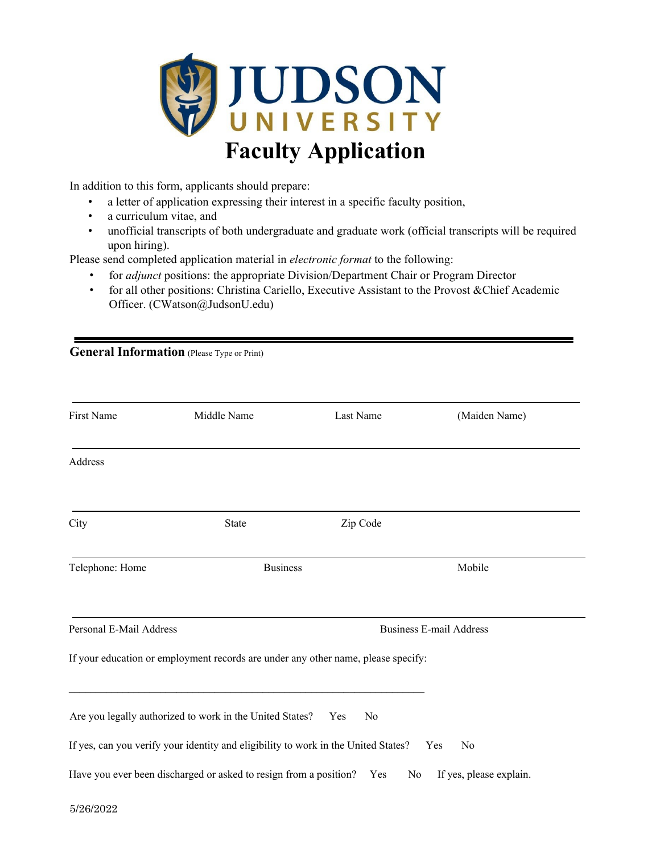

In addition to this form, applicants should prepare:

- a letter of application expressing their interest in a specific faculty position,
- a curriculum vitae, and
- unofficial transcripts of both undergraduate and graduate work (official transcripts will be required upon hiring).

Please send completed application material in *electronic format* to the following:

- for *adjunct* positions: the appropriate Division/Department Chair or Program Director
- for all other positions: Christina Cariello, Executive Assistant to the Provost &Chief Academic Officer. (CWatson@JudsonU.edu)

| <b>General Information</b> (Please Type or Print) |                                                                        |                                                                                    |                                |  |
|---------------------------------------------------|------------------------------------------------------------------------|------------------------------------------------------------------------------------|--------------------------------|--|
| First Name                                        | Middle Name                                                            | Last Name                                                                          | (Maiden Name)                  |  |
| Address                                           |                                                                        |                                                                                    |                                |  |
| City                                              | State                                                                  | Zip Code                                                                           |                                |  |
| Telephone: Home                                   | <b>Business</b>                                                        |                                                                                    | Mobile                         |  |
| Personal E-Mail Address                           |                                                                        |                                                                                    | <b>Business E-mail Address</b> |  |
|                                                   |                                                                        | If your education or employment records are under any other name, please specify:  |                                |  |
|                                                   | Are you legally authorized to work in the United States?               | No<br>Yes                                                                          |                                |  |
|                                                   |                                                                        | If yes, can you verify your identity and eligibility to work in the United States? | Yes<br>No                      |  |
|                                                   | Have you ever been discharged or asked to resign from a position?  Yes | No                                                                                 | If yes, please explain.        |  |
| 5/26/2022                                         |                                                                        |                                                                                    |                                |  |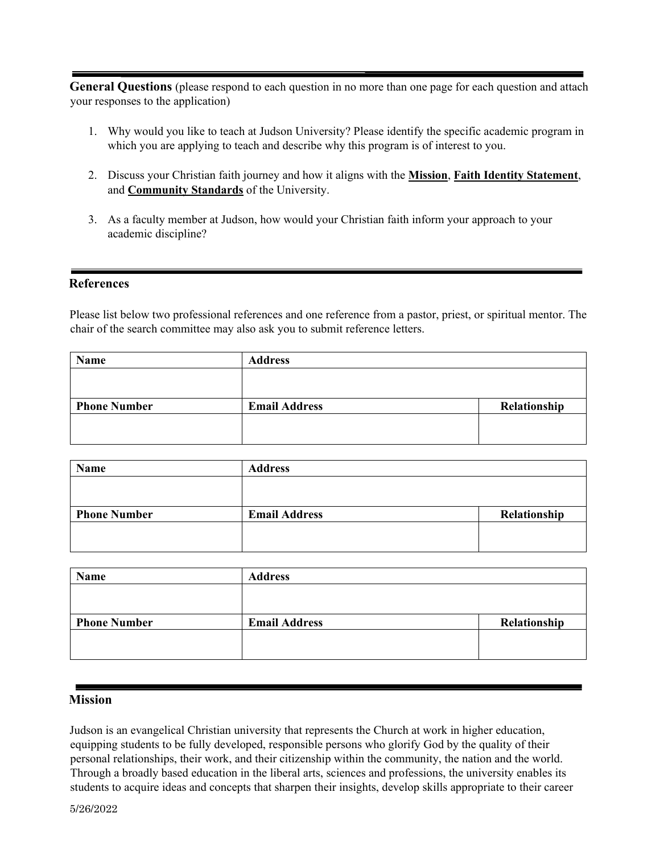**General Questions** (please respond to each question in no more than one page for each question and attach your responses to the application)

- 1. Why would you like to teach at Judson University? Please identify the specific academic program in which you are applying to teach and describe why this program is of interest to you.
- 2. Discuss your Christian faith journey and how it aligns with the **[Mission](http://www.judsonu.edu/About/History/Mission_Statement_and_Educational_Goals/)**[,](http://www.judsonu.edu/About/History/Mission_Statement_and_Educational_Goals/) **[Faith Identity Statement](https://www.judsonu.edu/faithidentity.aspx)**[,](https://www.judsonu.edu/faithidentity.aspx)  and **[Community Standards](https://www.judsonu.edu/About/History/Community_Standards/)** [o](https://www.judsonu.edu/About/History/Community_Standards/)f the University.
- 3. As a faculty member at Judson, how would your Christian faith inform your approach to your academic discipline?

## **References**

Please list below two professional references and one reference from a pastor, priest, or spiritual mentor. The chair of the search committee may also ask you to submit reference letters.

| Name                | <b>Address</b>       |              |
|---------------------|----------------------|--------------|
|                     |                      |              |
|                     |                      |              |
| <b>Phone Number</b> | <b>Email Address</b> | Relationship |
|                     |                      |              |
|                     |                      |              |

| Name                | <b>Address</b>       |              |
|---------------------|----------------------|--------------|
|                     |                      |              |
|                     |                      |              |
| <b>Phone Number</b> | <b>Email Address</b> | Relationship |
|                     |                      |              |
|                     |                      |              |

| <b>Name</b>         | <b>Address</b>       |              |
|---------------------|----------------------|--------------|
|                     |                      |              |
|                     |                      |              |
| <b>Phone Number</b> | <b>Email Address</b> | Relationship |
|                     |                      |              |
|                     |                      |              |
|                     |                      |              |

## **Mission**

Judson is an evangelical Christian university that represents the Church at work in higher education, equipping students to be fully developed, responsible persons who glorify God by the quality of their personal relationships, their work, and their citizenship within the community, the nation and the world. Through a broadly based education in the liberal arts, sciences and professions, the university enables its students to acquire ideas and concepts that sharpen their insights, develop skills appropriate to their career